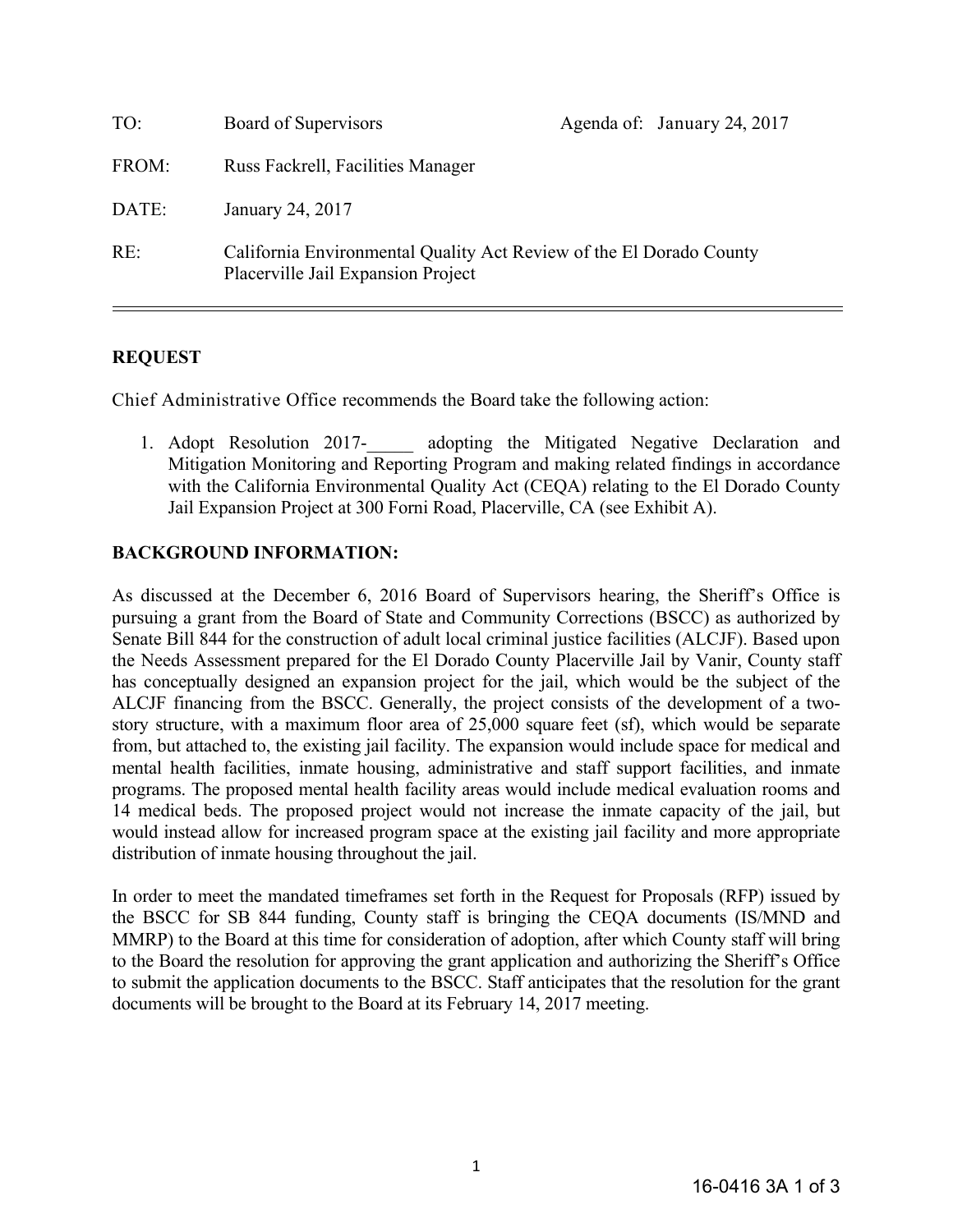| TO:            | Board of Supervisors                                                                                      | Agenda of: January 24, 2017                                                                                                                                                                                                                                                                                                                  |  |
|----------------|-----------------------------------------------------------------------------------------------------------|----------------------------------------------------------------------------------------------------------------------------------------------------------------------------------------------------------------------------------------------------------------------------------------------------------------------------------------------|--|
| FROM:          | Russ Fackrell, Facilities Manager                                                                         |                                                                                                                                                                                                                                                                                                                                              |  |
| DATE:          | January 24, 2017                                                                                          |                                                                                                                                                                                                                                                                                                                                              |  |
| RE:            | California Environmental Quality Act Review of the El Dorado County<br>Placerville Jail Expansion Project |                                                                                                                                                                                                                                                                                                                                              |  |
| <b>REQUEST</b> |                                                                                                           |                                                                                                                                                                                                                                                                                                                                              |  |
|                |                                                                                                           | Chief Administrative Office recommends the Board take the following action:                                                                                                                                                                                                                                                                  |  |
|                |                                                                                                           | 1. Adopt Resolution 2017-<br>adopting the Mitigated Negative Declaration and<br>Mitigation Monitoring and Reporting Program and making related findings in accordance<br>with the California Environmental Quality Act (CEQA) relating to the El Dorado County<br>Jail Expansion Project at 300 Forni Road, Placerville, CA (see Exhibit A). |  |

### **REQUEST**

### **BACKGROUND INFORMATION:**

As discussed at the December 6, 2016 Board of Supervisors hearing, the Sheriff's Office is pursuing a grant from the Board of State and Community Corrections (BSCC) as authorized by Senate Bill 844 for the construction of adult local criminal justice facilities (ALCJF). Based upon the Needs Assessment prepared for the El Dorado County Placerville Jail by Vanir, County staff has conceptually designed an expansion project for the jail, which would be the subject of the ALCJF financing from the BSCC. Generally, the project consists of the development of a twostory structure, with a maximum floor area of 25,000 square feet (sf), which would be separate from, but attached to, the existing jail facility. The expansion would include space for medical and mental health facilities, inmate housing, administrative and staff support facilities, and inmate programs. The proposed mental health facility areas would include medical evaluation rooms and 14 medical beds. The proposed project would not increase the inmate capacity of the jail, but would instead allow for increased program space at the existing jail facility and more appropriate distribution of inmate housing throughout the jail.

In order to meet the mandated timeframes set forth in the Request for Proposals (RFP) issued by the BSCC for SB 844 funding, County staff is bringing the CEQA documents (IS/MND and MMRP) to the Board at this time for consideration of adoption, after which County staff will bring to the Board the resolution for approving the grant application and authorizing the Sheriff's Office to submit the application documents to the BSCC. Staff anticipates that the resolution for the grant documents will be brought to the Board at its February 14, 2017 meeting.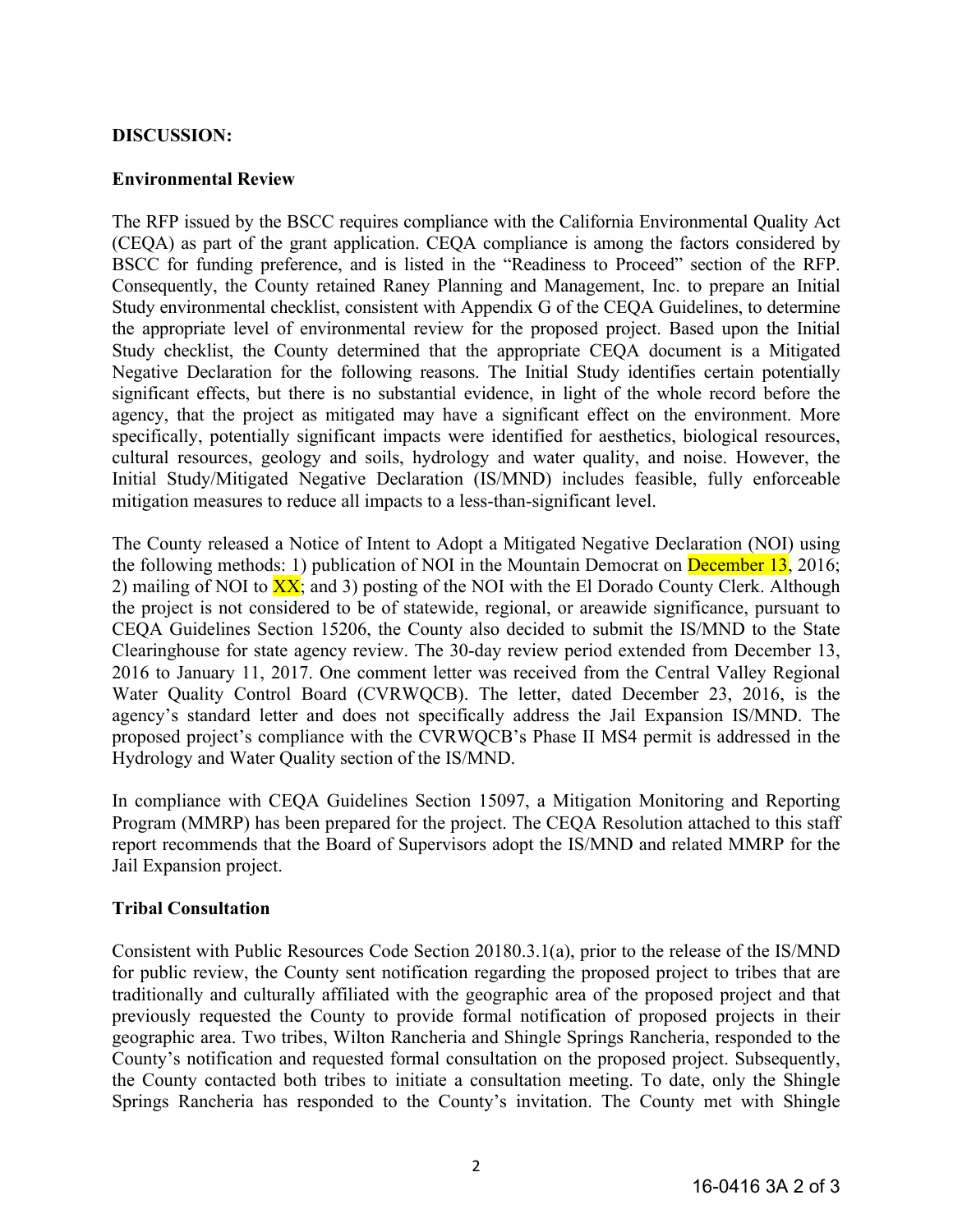### **DISCUSSION:**

### **Environmental Review**

The RFP issued by the BSCC requires compliance with the California Environmental Quality Act (CEQA) as part of the grant application. CEQA compliance is among the factors considered by BSCC for funding preference, and is listed in the "Readiness to Proceed" section of the RFP. Consequently, the County retained Raney Planning and Management, Inc. to prepare an Initial Study environmental checklist, consistent with Appendix G of the CEQA Guidelines, to determine the appropriate level of environmental review for the proposed project. Based upon the Initial Study checklist, the County determined that the appropriate CEQA document is a Mitigated Negative Declaration for the following reasons. The Initial Study identifies certain potentially significant effects, but there is no substantial evidence, in light of the whole record before the agency, that the project as mitigated may have a significant effect on the environment. More specifically, potentially significant impacts were identified for aesthetics, biological resources, cultural resources, geology and soils, hydrology and water quality, and noise. However, the Initial Study/Mitigated Negative Declaration (IS/MND) includes feasible, fully enforceable mitigation measures to reduce all impacts to a less-than-significant level.

The County released a Notice of Intent to Adopt a Mitigated Negative Declaration (NOI) using the following methods: 1) publication of NOI in the Mountain Democrat on December 13, 2016; 2) mailing of NOI to  $\overline{XX}$ ; and 3) posting of the NOI with the El Dorado County Clerk. Although the project is not considered to be of statewide, regional, or areawide significance, pursuant to CEQA Guidelines Section 15206, the County also decided to submit the IS/MND to the State Clearinghouse for state agency review. The 30-day review period extended from December 13, 2016 to January 11, 2017. One comment letter was received from the Central Valley Regional Water Quality Control Board (CVRWQCB). The letter, dated December 23, 2016, is the agency's standard letter and does not specifically address the Jail Expansion IS/MND. The proposed project's compliance with the CVRWQCB's Phase II MS4 permit is addressed in the Hydrology and Water Quality section of the IS/MND.

In compliance with CEQA Guidelines Section 15097, a Mitigation Monitoring and Reporting Program (MMRP) has been prepared for the project. The CEQA Resolution attached to this staff report recommends that the Board of Supervisors adopt the IS/MND and related MMRP for the Jail Expansion project.

# **Tribal Consultation**

Consistent with Public Resources Code Section 20180.3.1(a), prior to the release of the IS/MND for public review, the County sent notification regarding the proposed project to tribes that are traditionally and culturally affiliated with the geographic area of the proposed project and that previously requested the County to provide formal notification of proposed projects in their geographic area. Two tribes, Wilton Rancheria and Shingle Springs Rancheria, responded to the County's notification and requested formal consultation on the proposed project. Subsequently, the County contacted both tribes to initiate a consultation meeting. To date, only the Shingle Springs Rancheria has responded to the County's invitation. The County met with Shingle